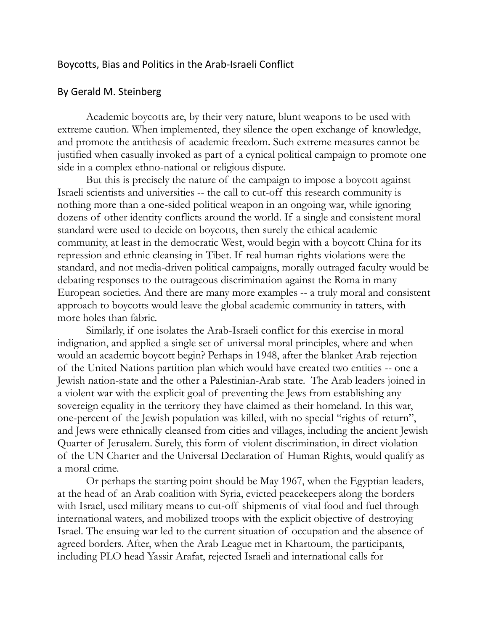## Boycotts, Bias and Politics in the Arab-Israeli Conflict

## By Gerald M. Steinberg

Academic boycotts are, by their very nature, blunt weapons to be used with extreme caution. When implemented, they silence the open exchange of knowledge, and promote the antithesis of academic freedom. Such extreme measures cannot be justified when casually invoked as part of a cynical political campaign to promote one side in a complex ethno-national or religious dispute.

But this is precisely the nature of the campaign to impose a boycott against Israeli scientists and universities -- the call to cut-off this research community is nothing more than a one-sided political weapon in an ongoing war, while ignoring dozens of other identity conflicts around the world. If a single and consistent moral standard were used to decide on boycotts, then surely the ethical academic community, at least in the democratic West, would begin with a boycott China for its repression and ethnic cleansing in Tibet. If real human rights violations were the standard, and not media-driven political campaigns, morally outraged faculty would be debating responses to the outrageous discrimination against the Roma in many European societies. And there are many more examples -- a truly moral and consistent approach to boycotts would leave the global academic community in tatters, with more holes than fabric.

Similarly, if one isolates the Arab-Israeli conflict for this exercise in moral indignation, and applied a single set of universal moral principles, where and when would an academic boycott begin? Perhaps in 1948, after the blanket Arab rejection of the United Nations partition plan which would have created two entities -- one a Jewish nation-state and the other a Palestinian-Arab state. The Arab leaders joined in a violent war with the explicit goal of preventing the Jews from establishing any sovereign equality in the territory they have claimed as their homeland. In this war, one-percent of the Jewish population was killed, with no special "rights of return", and Jews were ethnically cleansed from cities and villages, including the ancient Jewish Quarter of Jerusalem. Surely, this form of violent discrimination, in direct violation of the UN Charter and the Universal Declaration of Human Rights, would qualify as a moral crime.

Or perhaps the starting point should be May 1967, when the Egyptian leaders, at the head of an Arab coalition with Syria, evicted peacekeepers along the borders with Israel, used military means to cut-off shipments of vital food and fuel through international waters, and mobilized troops with the explicit objective of destroying Israel. The ensuing war led to the current situation of occupation and the absence of agreed borders. After, when the Arab League met in Khartoum, the participants, including PLO head Yassir Arafat, rejected Israeli and international calls for